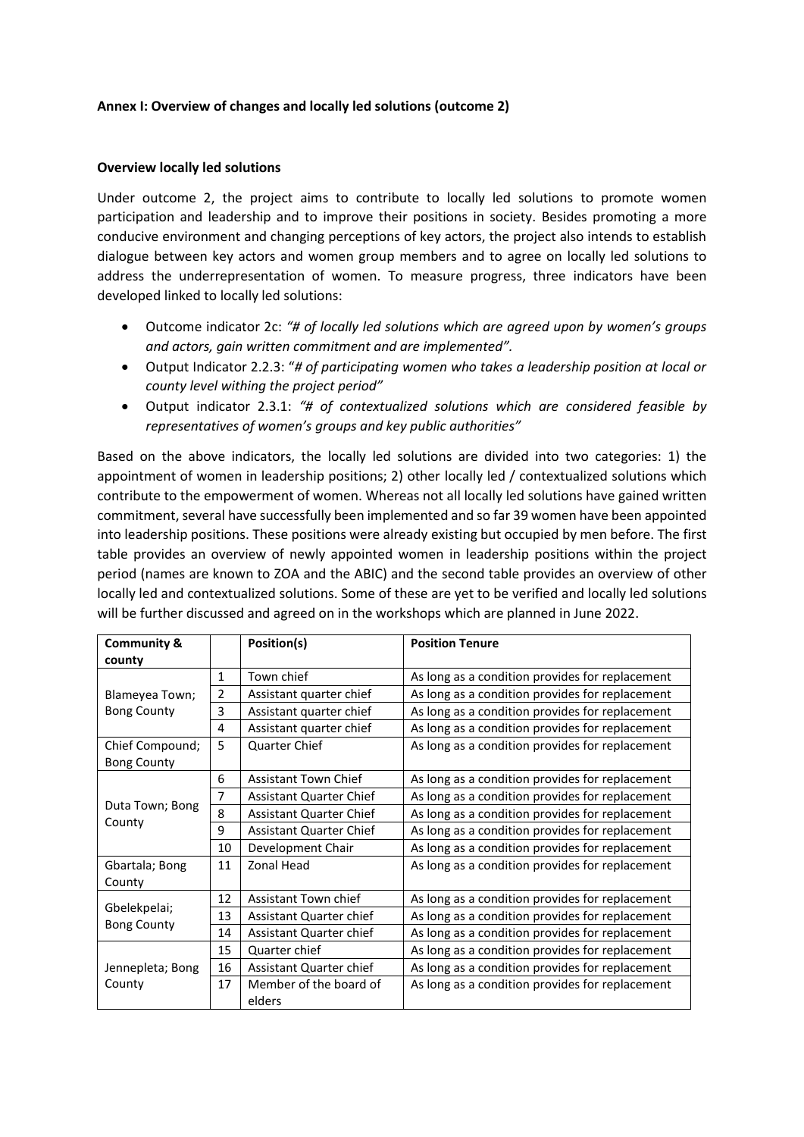### **Annex I: Overview of changes and locally led solutions (outcome 2)**

### **Overview locally led solutions**

Under outcome 2, the project aims to contribute to locally led solutions to promote women participation and leadership and to improve their positions in society. Besides promoting a more conducive environment and changing perceptions of key actors, the project also intends to establish dialogue between key actors and women group members and to agree on locally led solutions to address the underrepresentation of women. To measure progress, three indicators have been developed linked to locally led solutions:

- Outcome indicator 2c: *"# of locally led solutions which are agreed upon by women's groups and actors, gain written commitment and are implemented".*
- Output Indicator 2.2.3: "*# of participating women who takes a leadership position at local or county level withing the project period"*
- Output indicator 2.3.1: *"# of contextualized solutions which are considered feasible by representatives of women's groups and key public authorities"*

Based on the above indicators, the locally led solutions are divided into two categories: 1) the appointment of women in leadership positions; 2) other locally led / contextualized solutions which contribute to the empowerment of women. Whereas not all locally led solutions have gained written commitment, several have successfully been implemented and so far 39 women have been appointed into leadership positions. These positions were already existing but occupied by men before. The first table provides an overview of newly appointed women in leadership positions within the project period (names are known to ZOA and the ABIC) and the second table provides an overview of other locally led and contextualized solutions. Some of these are yet to be verified and locally led solutions will be further discussed and agreed on in the workshops which are planned in June 2022.

| <b>Community &amp;</b><br>county |                | Position(s)                      | <b>Position Tenure</b>                          |  |  |
|----------------------------------|----------------|----------------------------------|-------------------------------------------------|--|--|
|                                  | $\mathbf{1}$   | Town chief                       | As long as a condition provides for replacement |  |  |
| Blameyea Town;                   | 2              | Assistant quarter chief          | As long as a condition provides for replacement |  |  |
| <b>Bong County</b>               | 3              | Assistant quarter chief          | As long as a condition provides for replacement |  |  |
|                                  | 4              | Assistant quarter chief          | As long as a condition provides for replacement |  |  |
| Chief Compound;                  | 5              | Quarter Chief                    | As long as a condition provides for replacement |  |  |
| <b>Bong County</b>               |                |                                  |                                                 |  |  |
|                                  | 6              | Assistant Town Chief             | As long as a condition provides for replacement |  |  |
|                                  | $\overline{7}$ | Assistant Quarter Chief          | As long as a condition provides for replacement |  |  |
| Duta Town; Bong                  | 8              | Assistant Quarter Chief          | As long as a condition provides for replacement |  |  |
| County                           | 9              | Assistant Quarter Chief          | As long as a condition provides for replacement |  |  |
|                                  | 10             | Development Chair                | As long as a condition provides for replacement |  |  |
| Gbartala; Bong                   | 11             | Zonal Head                       | As long as a condition provides for replacement |  |  |
| County                           |                |                                  |                                                 |  |  |
|                                  | 12             | Assistant Town chief             | As long as a condition provides for replacement |  |  |
| Gbelekpelai;                     | 13             | Assistant Quarter chief          | As long as a condition provides for replacement |  |  |
| <b>Bong County</b>               | 14             | Assistant Quarter chief          | As long as a condition provides for replacement |  |  |
|                                  | 15             | Quarter chief                    | As long as a condition provides for replacement |  |  |
| Jennepleta; Bong                 | 16             | Assistant Quarter chief          | As long as a condition provides for replacement |  |  |
| County                           | 17             | Member of the board of<br>elders | As long as a condition provides for replacement |  |  |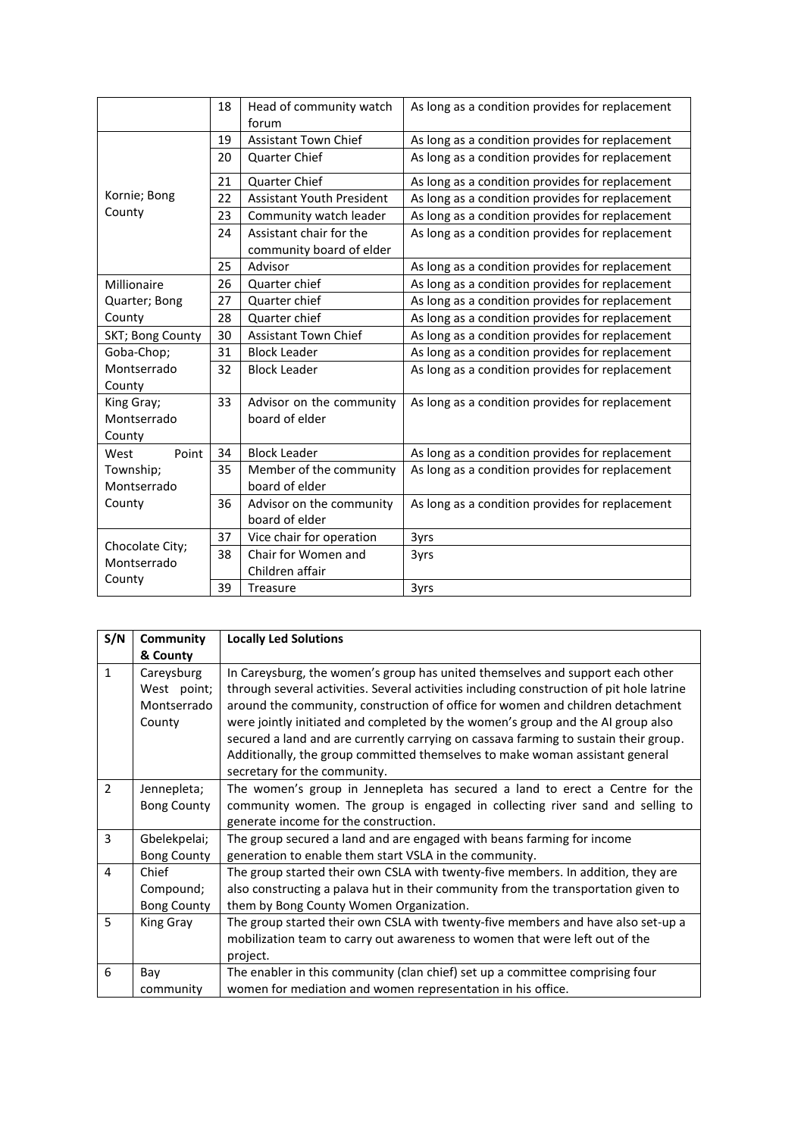|                                          | 18 | Head of community watch                                          | As long as a condition provides for replacement |
|------------------------------------------|----|------------------------------------------------------------------|-------------------------------------------------|
|                                          |    | forum                                                            |                                                 |
|                                          | 19 | <b>Assistant Town Chief</b>                                      | As long as a condition provides for replacement |
|                                          | 20 | <b>Quarter Chief</b>                                             | As long as a condition provides for replacement |
|                                          | 21 | Quarter Chief                                                    | As long as a condition provides for replacement |
| Kornie; Bong                             | 22 | <b>Assistant Youth President</b>                                 | As long as a condition provides for replacement |
| County                                   | 23 | Community watch leader                                           | As long as a condition provides for replacement |
|                                          | 24 | Assistant chair for the                                          | As long as a condition provides for replacement |
|                                          |    | community board of elder                                         |                                                 |
|                                          | 25 | Advisor                                                          | As long as a condition provides for replacement |
| Millionaire                              | 26 | Quarter chief                                                    | As long as a condition provides for replacement |
| Quarter; Bong                            | 27 | As long as a condition provides for replacement<br>Quarter chief |                                                 |
| County                                   | 28 | Quarter chief                                                    | As long as a condition provides for replacement |
| SKT; Bong County                         | 30 | <b>Assistant Town Chief</b>                                      | As long as a condition provides for replacement |
| Goba-Chop;                               | 31 | <b>Block Leader</b>                                              | As long as a condition provides for replacement |
| Montserrado                              | 32 | <b>Block Leader</b>                                              | As long as a condition provides for replacement |
| County                                   |    |                                                                  |                                                 |
| King Gray;                               | 33 | Advisor on the community                                         | As long as a condition provides for replacement |
| Montserrado                              |    | board of elder                                                   |                                                 |
| County                                   |    |                                                                  |                                                 |
| Point<br>West                            | 34 | <b>Block Leader</b>                                              | As long as a condition provides for replacement |
| Township;                                | 35 | Member of the community                                          | As long as a condition provides for replacement |
| Montserrado                              |    | board of elder                                                   |                                                 |
| County<br>36<br>Advisor on the community |    | As long as a condition provides for replacement                  |                                                 |
|                                          |    | board of elder                                                   |                                                 |
|                                          | 37 | Vice chair for operation                                         | 3yrs                                            |
| Chocolate City;<br>Montserrado           | 38 | Chair for Women and                                              | 3yrs<br>3yrs                                    |
|                                          |    | Children affair                                                  |                                                 |
| County                                   | 39 | <b>Treasure</b>                                                  |                                                 |

| S/N                      | Community                                          | <b>Locally Led Solutions</b>                                                                                                                                                                                                                                                                                                                                                                                                                                                                                                                            |
|--------------------------|----------------------------------------------------|---------------------------------------------------------------------------------------------------------------------------------------------------------------------------------------------------------------------------------------------------------------------------------------------------------------------------------------------------------------------------------------------------------------------------------------------------------------------------------------------------------------------------------------------------------|
|                          | & County                                           |                                                                                                                                                                                                                                                                                                                                                                                                                                                                                                                                                         |
| $\mathbf{1}$             | Careysburg<br>West point;<br>Montserrado<br>County | In Careysburg, the women's group has united themselves and support each other<br>through several activities. Several activities including construction of pit hole latrine<br>around the community, construction of office for women and children detachment<br>were jointly initiated and completed by the women's group and the AI group also<br>secured a land and are currently carrying on cassava farming to sustain their group.<br>Additionally, the group committed themselves to make woman assistant general<br>secretary for the community. |
| $\overline{\phantom{a}}$ | Jennepleta;<br><b>Bong County</b>                  | The women's group in Jennepleta has secured a land to erect a Centre for the<br>community women. The group is engaged in collecting river sand and selling to<br>generate income for the construction.                                                                                                                                                                                                                                                                                                                                                  |
| 3                        | Gbelekpelai;<br><b>Bong County</b>                 | The group secured a land and are engaged with beans farming for income<br>generation to enable them start VSLA in the community.                                                                                                                                                                                                                                                                                                                                                                                                                        |
| 4                        | Chief<br>Compound;<br><b>Bong County</b>           | The group started their own CSLA with twenty-five members. In addition, they are<br>also constructing a palava hut in their community from the transportation given to<br>them by Bong County Women Organization.                                                                                                                                                                                                                                                                                                                                       |
| 5                        | King Gray                                          | The group started their own CSLA with twenty-five members and have also set-up a<br>mobilization team to carry out awareness to women that were left out of the<br>project.                                                                                                                                                                                                                                                                                                                                                                             |
| 6                        | Bay<br>community                                   | The enabler in this community (clan chief) set up a committee comprising four<br>women for mediation and women representation in his office.                                                                                                                                                                                                                                                                                                                                                                                                            |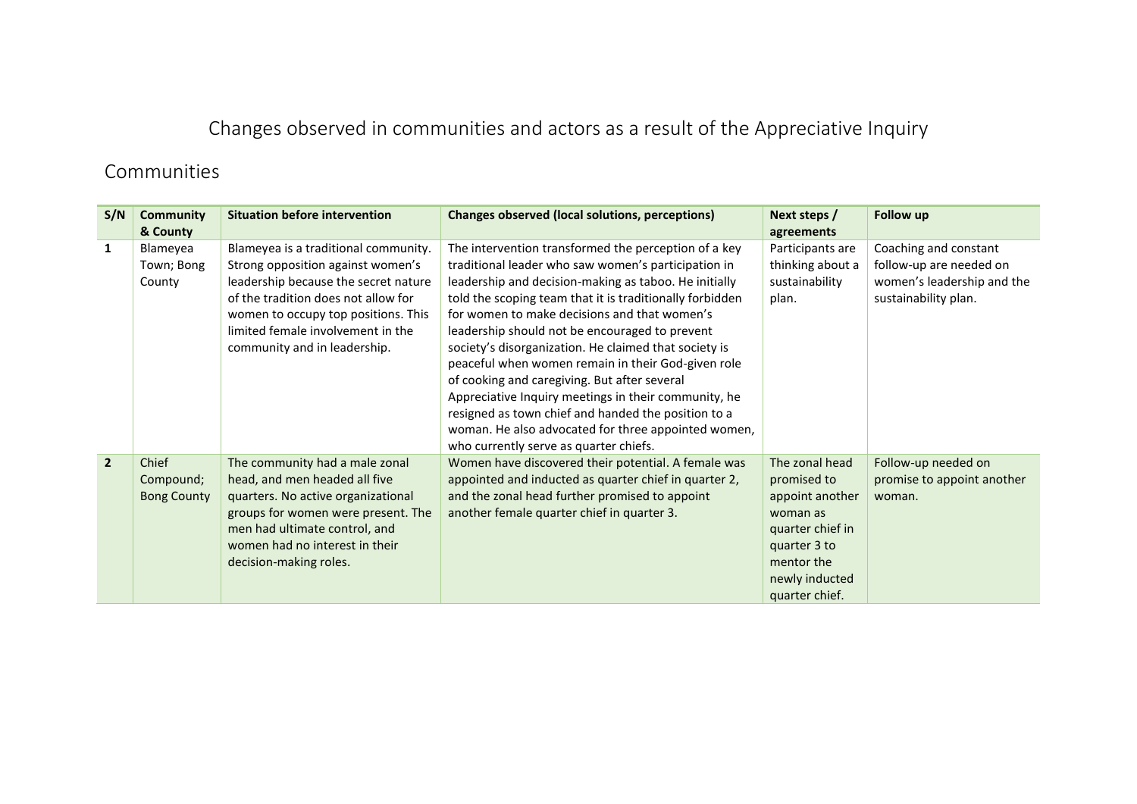# Changes observed in communities and actors as a result of the Appreciative Inquiry

## Communities

| S/N            | Community<br>& County                    | <b>Situation before intervention</b>                                                                                                                                                                                                                                 | Changes observed (local solutions, perceptions)                                                                                                                                                                                                                                                                                                                                                                                                                                                                                                                                                                                                                                                                   | Next steps /<br>agreements                                                                                                                         | Follow up                                                                                              |
|----------------|------------------------------------------|----------------------------------------------------------------------------------------------------------------------------------------------------------------------------------------------------------------------------------------------------------------------|-------------------------------------------------------------------------------------------------------------------------------------------------------------------------------------------------------------------------------------------------------------------------------------------------------------------------------------------------------------------------------------------------------------------------------------------------------------------------------------------------------------------------------------------------------------------------------------------------------------------------------------------------------------------------------------------------------------------|----------------------------------------------------------------------------------------------------------------------------------------------------|--------------------------------------------------------------------------------------------------------|
| 1              | Blameyea<br>Town; Bong<br>County         | Blameyea is a traditional community.<br>Strong opposition against women's<br>leadership because the secret nature<br>of the tradition does not allow for<br>women to occupy top positions. This<br>limited female involvement in the<br>community and in leadership. | The intervention transformed the perception of a key<br>traditional leader who saw women's participation in<br>leadership and decision-making as taboo. He initially<br>told the scoping team that it is traditionally forbidden<br>for women to make decisions and that women's<br>leadership should not be encouraged to prevent<br>society's disorganization. He claimed that society is<br>peaceful when women remain in their God-given role<br>of cooking and caregiving. But after several<br>Appreciative Inquiry meetings in their community, he<br>resigned as town chief and handed the position to a<br>woman. He also advocated for three appointed women,<br>who currently serve as quarter chiefs. | Participants are<br>thinking about a<br>sustainability<br>plan.                                                                                    | Coaching and constant<br>follow-up are needed on<br>women's leadership and the<br>sustainability plan. |
| $\overline{2}$ | Chief<br>Compound;<br><b>Bong County</b> | The community had a male zonal<br>head, and men headed all five<br>quarters. No active organizational<br>groups for women were present. The<br>men had ultimate control, and<br>women had no interest in their<br>decision-making roles.                             | Women have discovered their potential. A female was<br>appointed and inducted as quarter chief in quarter 2,<br>and the zonal head further promised to appoint<br>another female quarter chief in quarter 3.                                                                                                                                                                                                                                                                                                                                                                                                                                                                                                      | The zonal head<br>promised to<br>appoint another<br>woman as<br>quarter chief in<br>quarter 3 to<br>mentor the<br>newly inducted<br>quarter chief. | Follow-up needed on<br>promise to appoint another<br>woman.                                            |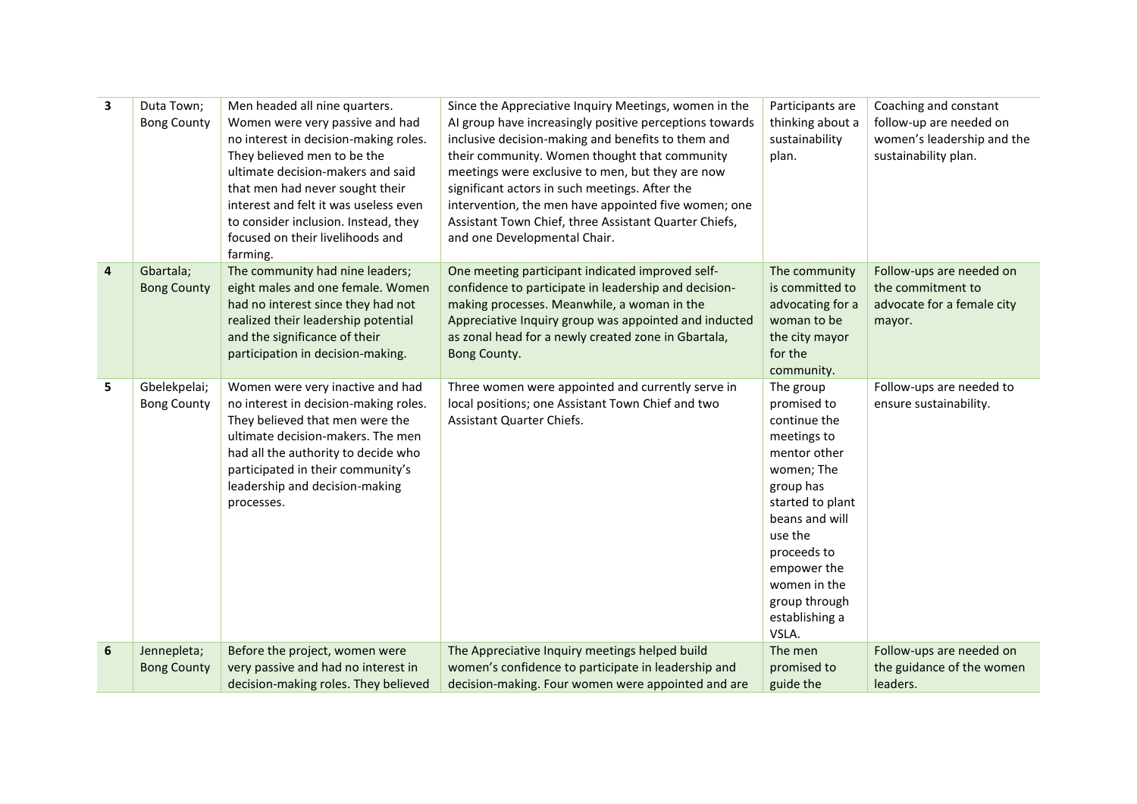| 3                       | Duta Town;<br><b>Bong County</b>   | Men headed all nine quarters.<br>Women were very passive and had<br>no interest in decision-making roles.<br>They believed men to be the<br>ultimate decision-makers and said<br>that men had never sought their<br>interest and felt it was useless even<br>to consider inclusion. Instead, they<br>focused on their livelihoods and<br>farming. | Since the Appreciative Inquiry Meetings, women in the<br>Al group have increasingly positive perceptions towards<br>inclusive decision-making and benefits to them and<br>their community. Women thought that community<br>meetings were exclusive to men, but they are now<br>significant actors in such meetings. After the<br>intervention, the men have appointed five women; one<br>Assistant Town Chief, three Assistant Quarter Chiefs,<br>and one Developmental Chair. | Participants are<br>thinking about a<br>sustainability<br>plan.                                                                                                                                                                               | Coaching and constant<br>follow-up are needed on<br>women's leadership and the<br>sustainability plan. |
|-------------------------|------------------------------------|---------------------------------------------------------------------------------------------------------------------------------------------------------------------------------------------------------------------------------------------------------------------------------------------------------------------------------------------------|--------------------------------------------------------------------------------------------------------------------------------------------------------------------------------------------------------------------------------------------------------------------------------------------------------------------------------------------------------------------------------------------------------------------------------------------------------------------------------|-----------------------------------------------------------------------------------------------------------------------------------------------------------------------------------------------------------------------------------------------|--------------------------------------------------------------------------------------------------------|
| $\overline{\mathbf{4}}$ | Gbartala;<br><b>Bong County</b>    | The community had nine leaders;<br>eight males and one female. Women<br>had no interest since they had not<br>realized their leadership potential<br>and the significance of their<br>participation in decision-making.                                                                                                                           | One meeting participant indicated improved self-<br>confidence to participate in leadership and decision-<br>making processes. Meanwhile, a woman in the<br>Appreciative Inquiry group was appointed and inducted<br>as zonal head for a newly created zone in Gbartala,<br>Bong County.                                                                                                                                                                                       | The community<br>is committed to<br>advocating for a<br>woman to be<br>the city mayor<br>for the<br>community.                                                                                                                                | Follow-ups are needed on<br>the commitment to<br>advocate for a female city<br>mayor.                  |
| 5                       | Gbelekpelai;<br><b>Bong County</b> | Women were very inactive and had<br>no interest in decision-making roles.<br>They believed that men were the<br>ultimate decision-makers. The men<br>had all the authority to decide who<br>participated in their community's<br>leadership and decision-making<br>processes.                                                                     | Three women were appointed and currently serve in<br>local positions; one Assistant Town Chief and two<br>Assistant Quarter Chiefs.                                                                                                                                                                                                                                                                                                                                            | The group<br>promised to<br>continue the<br>meetings to<br>mentor other<br>women; The<br>group has<br>started to plant<br>beans and will<br>use the<br>proceeds to<br>empower the<br>women in the<br>group through<br>establishing a<br>VSLA. | Follow-ups are needed to<br>ensure sustainability.                                                     |
| 6                       | Jennepleta;                        | Before the project, women were                                                                                                                                                                                                                                                                                                                    | The Appreciative Inquiry meetings helped build                                                                                                                                                                                                                                                                                                                                                                                                                                 | The men                                                                                                                                                                                                                                       | Follow-ups are needed on                                                                               |
|                         | <b>Bong County</b>                 | very passive and had no interest in<br>decision-making roles. They believed                                                                                                                                                                                                                                                                       | women's confidence to participate in leadership and<br>decision-making. Four women were appointed and are                                                                                                                                                                                                                                                                                                                                                                      | promised to<br>guide the                                                                                                                                                                                                                      | the guidance of the women<br>leaders.                                                                  |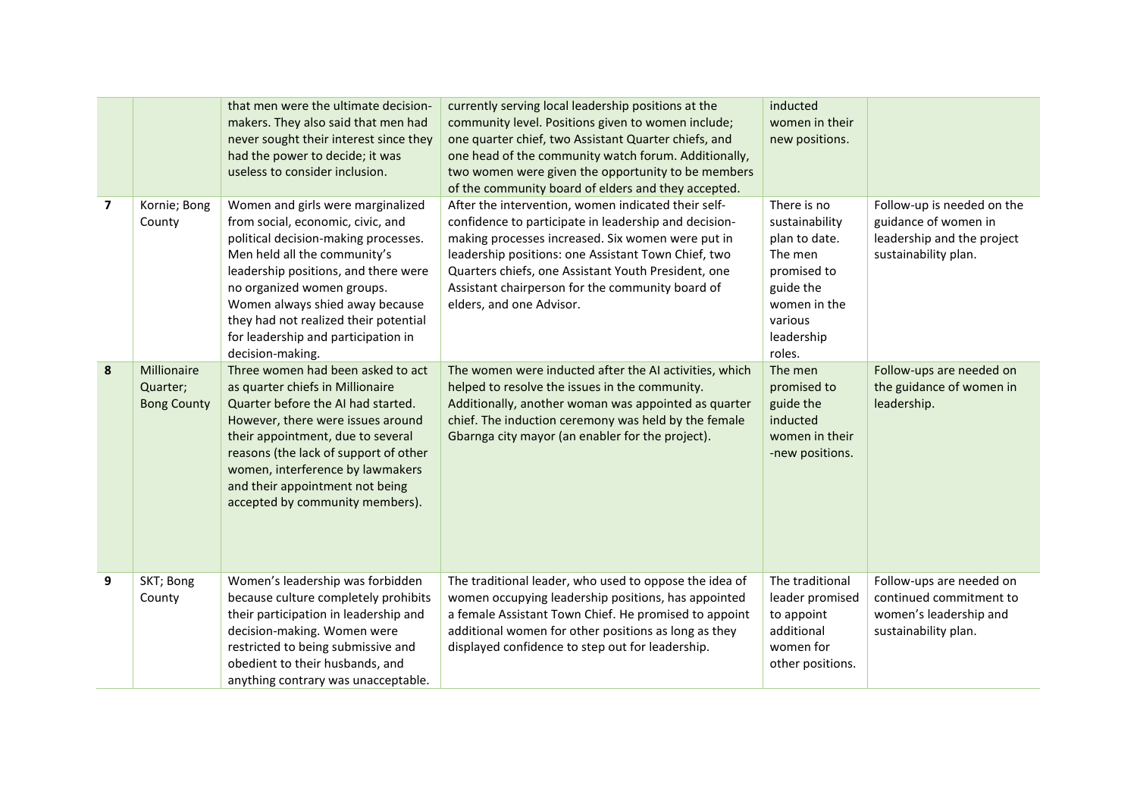|                |                                               | that men were the ultimate decision-<br>makers. They also said that men had<br>never sought their interest since they<br>had the power to decide; it was<br>useless to consider inclusion.                                                                                                                                                                  | currently serving local leadership positions at the<br>community level. Positions given to women include;<br>one quarter chief, two Assistant Quarter chiefs, and<br>one head of the community watch forum. Additionally,<br>two women were given the opportunity to be members<br>of the community board of elders and they accepted.                          | inducted<br>women in their<br>new positions.                                                                                             |                                                                                                          |
|----------------|-----------------------------------------------|-------------------------------------------------------------------------------------------------------------------------------------------------------------------------------------------------------------------------------------------------------------------------------------------------------------------------------------------------------------|-----------------------------------------------------------------------------------------------------------------------------------------------------------------------------------------------------------------------------------------------------------------------------------------------------------------------------------------------------------------|------------------------------------------------------------------------------------------------------------------------------------------|----------------------------------------------------------------------------------------------------------|
| $\overline{7}$ | Kornie; Bong<br>County                        | Women and girls were marginalized<br>from social, economic, civic, and<br>political decision-making processes.<br>Men held all the community's<br>leadership positions, and there were<br>no organized women groups.<br>Women always shied away because<br>they had not realized their potential<br>for leadership and participation in<br>decision-making. | After the intervention, women indicated their self-<br>confidence to participate in leadership and decision-<br>making processes increased. Six women were put in<br>leadership positions: one Assistant Town Chief, two<br>Quarters chiefs, one Assistant Youth President, one<br>Assistant chairperson for the community board of<br>elders, and one Advisor. | There is no<br>sustainability<br>plan to date.<br>The men<br>promised to<br>guide the<br>women in the<br>various<br>leadership<br>roles. | Follow-up is needed on the<br>guidance of women in<br>leadership and the project<br>sustainability plan. |
| 8              | Millionaire<br>Quarter;<br><b>Bong County</b> | Three women had been asked to act<br>as quarter chiefs in Millionaire<br>Quarter before the AI had started.<br>However, there were issues around<br>their appointment, due to several<br>reasons (the lack of support of other<br>women, interference by lawmakers<br>and their appointment not being<br>accepted by community members).                    | The women were inducted after the AI activities, which<br>helped to resolve the issues in the community.<br>Additionally, another woman was appointed as quarter<br>chief. The induction ceremony was held by the female<br>Gbarnga city mayor (an enabler for the project).                                                                                    | The men<br>promised to<br>guide the<br>inducted<br>women in their<br>-new positions.                                                     | Follow-ups are needed on<br>the guidance of women in<br>leadership.                                      |
| 9              | SKT; Bong<br>County                           | Women's leadership was forbidden<br>because culture completely prohibits<br>their participation in leadership and<br>decision-making. Women were<br>restricted to being submissive and<br>obedient to their husbands, and<br>anything contrary was unacceptable.                                                                                            | The traditional leader, who used to oppose the idea of<br>women occupying leadership positions, has appointed<br>a female Assistant Town Chief. He promised to appoint<br>additional women for other positions as long as they<br>displayed confidence to step out for leadership.                                                                              | The traditional<br>leader promised<br>to appoint<br>additional<br>women for<br>other positions.                                          | Follow-ups are needed on<br>continued commitment to<br>women's leadership and<br>sustainability plan.    |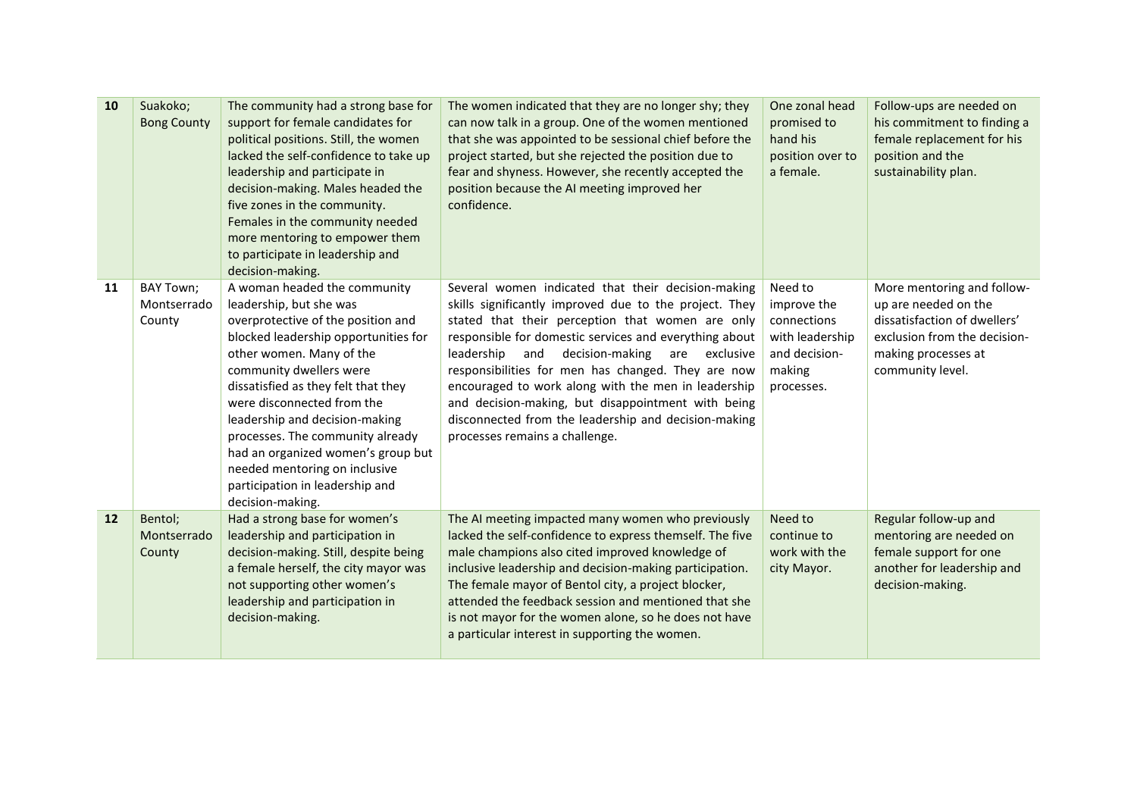| 10        | Suakoko;<br><b>Bong County</b>     | The community had a strong base for<br>support for female candidates for<br>political positions. Still, the women<br>lacked the self-confidence to take up<br>leadership and participate in<br>decision-making. Males headed the<br>five zones in the community.<br>Females in the community needed<br>more mentoring to empower them<br>to participate in leadership and<br>decision-making.                                                                         | The women indicated that they are no longer shy; they<br>can now talk in a group. One of the women mentioned<br>that she was appointed to be sessional chief before the<br>project started, but she rejected the position due to<br>fear and shyness. However, she recently accepted the<br>position because the AI meeting improved her<br>confidence.                                                                                                                                                                                             | One zonal head<br>promised to<br>hand his<br>position over to<br>a female.                        | Follow-ups are needed on<br>his commitment to finding a<br>female replacement for his<br>position and the<br>sustainability plan.                             |
|-----------|------------------------------------|-----------------------------------------------------------------------------------------------------------------------------------------------------------------------------------------------------------------------------------------------------------------------------------------------------------------------------------------------------------------------------------------------------------------------------------------------------------------------|-----------------------------------------------------------------------------------------------------------------------------------------------------------------------------------------------------------------------------------------------------------------------------------------------------------------------------------------------------------------------------------------------------------------------------------------------------------------------------------------------------------------------------------------------------|---------------------------------------------------------------------------------------------------|---------------------------------------------------------------------------------------------------------------------------------------------------------------|
| 11        | BAY Town;<br>Montserrado<br>County | A woman headed the community<br>leadership, but she was<br>overprotective of the position and<br>blocked leadership opportunities for<br>other women. Many of the<br>community dwellers were<br>dissatisfied as they felt that they<br>were disconnected from the<br>leadership and decision-making<br>processes. The community already<br>had an organized women's group but<br>needed mentoring on inclusive<br>participation in leadership and<br>decision-making. | Several women indicated that their decision-making<br>skills significantly improved due to the project. They<br>stated that their perception that women are only<br>responsible for domestic services and everything about<br>leadership<br>decision-making<br>and<br>are<br>exclusive<br>responsibilities for men has changed. They are now<br>encouraged to work along with the men in leadership<br>and decision-making, but disappointment with being<br>disconnected from the leadership and decision-making<br>processes remains a challenge. | Need to<br>improve the<br>connections<br>with leadership<br>and decision-<br>making<br>processes. | More mentoring and follow-<br>up are needed on the<br>dissatisfaction of dwellers'<br>exclusion from the decision-<br>making processes at<br>community level. |
| <b>12</b> | Bentol:<br>Montserrado<br>County   | Had a strong base for women's<br>leadership and participation in<br>decision-making. Still, despite being<br>a female herself, the city mayor was<br>not supporting other women's<br>leadership and participation in<br>decision-making.                                                                                                                                                                                                                              | The AI meeting impacted many women who previously<br>lacked the self-confidence to express themself. The five<br>male champions also cited improved knowledge of<br>inclusive leadership and decision-making participation.<br>The female mayor of Bentol city, a project blocker,<br>attended the feedback session and mentioned that she<br>is not mayor for the women alone, so he does not have<br>a particular interest in supporting the women.                                                                                               | Need to<br>continue to<br>work with the<br>city Mayor.                                            | Regular follow-up and<br>mentoring are needed on<br>female support for one<br>another for leadership and<br>decision-making.                                  |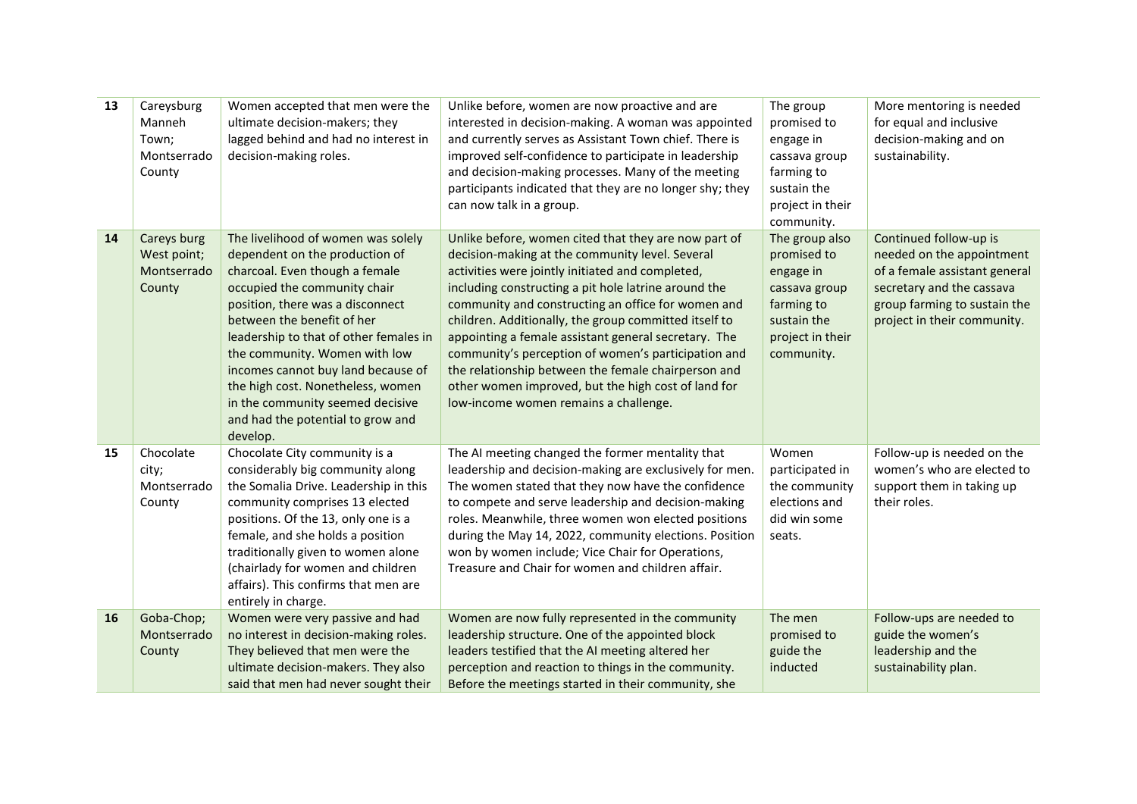| 13 | Careysburg<br>Manneh<br>Town;<br>Montserrado<br>County | Women accepted that men were the<br>ultimate decision-makers; they<br>lagged behind and had no interest in<br>decision-making roles.                                                                                                                                                                                                                                                                                                                | Unlike before, women are now proactive and are<br>interested in decision-making. A woman was appointed<br>and currently serves as Assistant Town chief. There is<br>improved self-confidence to participate in leadership<br>and decision-making processes. Many of the meeting<br>participants indicated that they are no longer shy; they<br>can now talk in a group.                                                                                                                                                                                                                                  | The group<br>promised to<br>engage in<br>cassava group<br>farming to<br>sustain the<br>project in their<br>community.      | More mentoring is needed<br>for equal and inclusive<br>decision-making and on<br>sustainability.                                                                                 |
|----|--------------------------------------------------------|-----------------------------------------------------------------------------------------------------------------------------------------------------------------------------------------------------------------------------------------------------------------------------------------------------------------------------------------------------------------------------------------------------------------------------------------------------|----------------------------------------------------------------------------------------------------------------------------------------------------------------------------------------------------------------------------------------------------------------------------------------------------------------------------------------------------------------------------------------------------------------------------------------------------------------------------------------------------------------------------------------------------------------------------------------------------------|----------------------------------------------------------------------------------------------------------------------------|----------------------------------------------------------------------------------------------------------------------------------------------------------------------------------|
| 14 | Careys burg<br>West point;<br>Montserrado<br>County    | The livelihood of women was solely<br>dependent on the production of<br>charcoal. Even though a female<br>occupied the community chair<br>position, there was a disconnect<br>between the benefit of her<br>leadership to that of other females in<br>the community. Women with low<br>incomes cannot buy land because of<br>the high cost. Nonetheless, women<br>in the community seemed decisive<br>and had the potential to grow and<br>develop. | Unlike before, women cited that they are now part of<br>decision-making at the community level. Several<br>activities were jointly initiated and completed,<br>including constructing a pit hole latrine around the<br>community and constructing an office for women and<br>children. Additionally, the group committed itself to<br>appointing a female assistant general secretary. The<br>community's perception of women's participation and<br>the relationship between the female chairperson and<br>other women improved, but the high cost of land for<br>low-income women remains a challenge. | The group also<br>promised to<br>engage in<br>cassava group<br>farming to<br>sustain the<br>project in their<br>community. | Continued follow-up is<br>needed on the appointment<br>of a female assistant general<br>secretary and the cassava<br>group farming to sustain the<br>project in their community. |
| 15 | Chocolate<br>city;<br>Montserrado<br>County            | Chocolate City community is a<br>considerably big community along<br>the Somalia Drive. Leadership in this<br>community comprises 13 elected<br>positions. Of the 13, only one is a<br>female, and she holds a position<br>traditionally given to women alone<br>(chairlady for women and children<br>affairs). This confirms that men are<br>entirely in charge.                                                                                   | The AI meeting changed the former mentality that<br>leadership and decision-making are exclusively for men.<br>The women stated that they now have the confidence<br>to compete and serve leadership and decision-making<br>roles. Meanwhile, three women won elected positions<br>during the May 14, 2022, community elections. Position<br>won by women include; Vice Chair for Operations,<br>Treasure and Chair for women and children affair.                                                                                                                                                       | Women<br>participated in<br>the community<br>elections and<br>did win some<br>seats.                                       | Follow-up is needed on the<br>women's who are elected to<br>support them in taking up<br>their roles.                                                                            |
| 16 | Goba-Chop;<br>Montserrado<br>County                    | Women were very passive and had<br>no interest in decision-making roles.<br>They believed that men were the<br>ultimate decision-makers. They also<br>said that men had never sought their                                                                                                                                                                                                                                                          | Women are now fully represented in the community<br>leadership structure. One of the appointed block<br>leaders testified that the AI meeting altered her<br>perception and reaction to things in the community.<br>Before the meetings started in their community, she                                                                                                                                                                                                                                                                                                                                  | The men<br>promised to<br>guide the<br>inducted                                                                            | Follow-ups are needed to<br>guide the women's<br>leadership and the<br>sustainability plan.                                                                                      |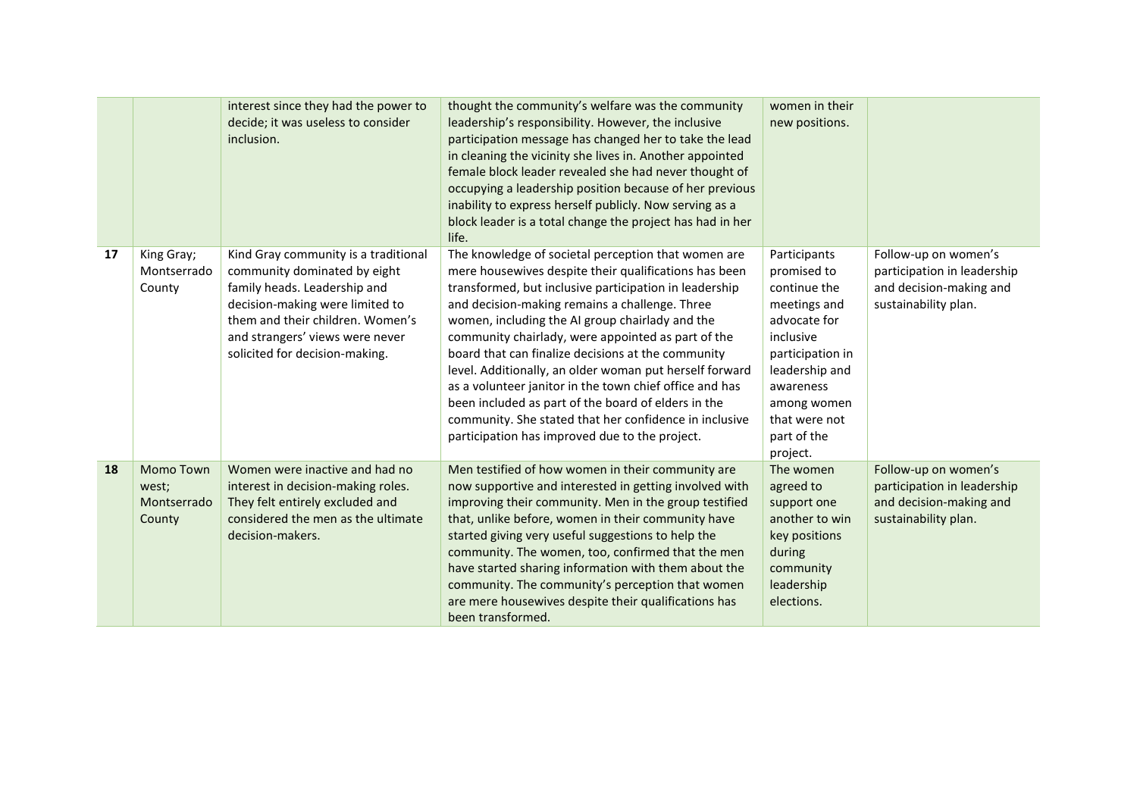|    |                                                    | interest since they had the power to<br>decide; it was useless to consider<br>inclusion.                                                                                                                                                         | thought the community's welfare was the community<br>leadership's responsibility. However, the inclusive<br>participation message has changed her to take the lead<br>in cleaning the vicinity she lives in. Another appointed<br>female block leader revealed she had never thought of<br>occupying a leadership position because of her previous<br>inability to express herself publicly. Now serving as a<br>block leader is a total change the project has had in her<br>life.                                                                                                                                                                                              | women in their<br>new positions.                                                                                                                                                                       |                                                                                                        |
|----|----------------------------------------------------|--------------------------------------------------------------------------------------------------------------------------------------------------------------------------------------------------------------------------------------------------|----------------------------------------------------------------------------------------------------------------------------------------------------------------------------------------------------------------------------------------------------------------------------------------------------------------------------------------------------------------------------------------------------------------------------------------------------------------------------------------------------------------------------------------------------------------------------------------------------------------------------------------------------------------------------------|--------------------------------------------------------------------------------------------------------------------------------------------------------------------------------------------------------|--------------------------------------------------------------------------------------------------------|
| 17 | King Gray;<br>Montserrado<br>County                | Kind Gray community is a traditional<br>community dominated by eight<br>family heads. Leadership and<br>decision-making were limited to<br>them and their children. Women's<br>and strangers' views were never<br>solicited for decision-making. | The knowledge of societal perception that women are<br>mere housewives despite their qualifications has been<br>transformed, but inclusive participation in leadership<br>and decision-making remains a challenge. Three<br>women, including the AI group chairlady and the<br>community chairlady, were appointed as part of the<br>board that can finalize decisions at the community<br>level. Additionally, an older woman put herself forward<br>as a volunteer janitor in the town chief office and has<br>been included as part of the board of elders in the<br>community. She stated that her confidence in inclusive<br>participation has improved due to the project. | Participants<br>promised to<br>continue the<br>meetings and<br>advocate for<br>inclusive<br>participation in<br>leadership and<br>awareness<br>among women<br>that were not<br>part of the<br>project. | Follow-up on women's<br>participation in leadership<br>and decision-making and<br>sustainability plan. |
| 18 | <b>Momo Town</b><br>west;<br>Montserrado<br>County | Women were inactive and had no<br>interest in decision-making roles.<br>They felt entirely excluded and<br>considered the men as the ultimate<br>decision-makers.                                                                                | Men testified of how women in their community are<br>now supportive and interested in getting involved with<br>improving their community. Men in the group testified<br>that, unlike before, women in their community have<br>started giving very useful suggestions to help the<br>community. The women, too, confirmed that the men<br>have started sharing information with them about the<br>community. The community's perception that women<br>are mere housewives despite their qualifications has<br>been transformed.                                                                                                                                                   | The women<br>agreed to<br>support one<br>another to win<br>key positions<br>during<br>community<br>leadership<br>elections.                                                                            | Follow-up on women's<br>participation in leadership<br>and decision-making and<br>sustainability plan. |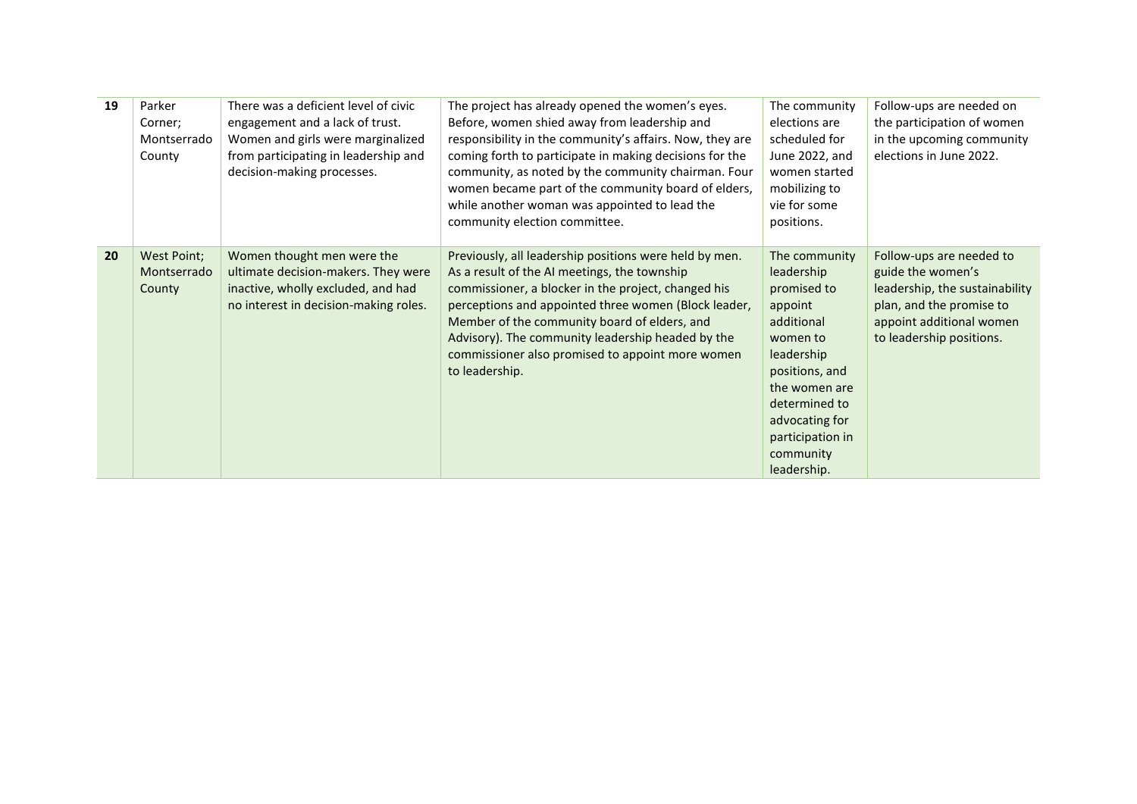| 19 | Parker<br>Corner;<br>Montserrado<br>County | There was a deficient level of civic<br>engagement and a lack of trust.<br>Women and girls were marginalized<br>from participating in leadership and<br>decision-making processes. | The project has already opened the women's eyes.<br>Before, women shied away from leadership and<br>responsibility in the community's affairs. Now, they are<br>coming forth to participate in making decisions for the<br>community, as noted by the community chairman. Four<br>women became part of the community board of elders,<br>while another woman was appointed to lead the<br>community election committee. | The community<br>elections are<br>scheduled for<br>June 2022, and<br>women started<br>mobilizing to<br>vie for some<br>positions.                                                                                   | Follow-ups are needed on<br>the participation of women<br>in the upcoming community<br>elections in June 2022.                                                      |
|----|--------------------------------------------|------------------------------------------------------------------------------------------------------------------------------------------------------------------------------------|-------------------------------------------------------------------------------------------------------------------------------------------------------------------------------------------------------------------------------------------------------------------------------------------------------------------------------------------------------------------------------------------------------------------------|---------------------------------------------------------------------------------------------------------------------------------------------------------------------------------------------------------------------|---------------------------------------------------------------------------------------------------------------------------------------------------------------------|
| 20 | West Point;<br>Montserrado<br>County       | Women thought men were the<br>ultimate decision-makers. They were<br>inactive, wholly excluded, and had<br>no interest in decision-making roles.                                   | Previously, all leadership positions were held by men.<br>As a result of the AI meetings, the township<br>commissioner, a blocker in the project, changed his<br>perceptions and appointed three women (Block leader,<br>Member of the community board of elders, and<br>Advisory). The community leadership headed by the<br>commissioner also promised to appoint more women<br>to leadership.                        | The community<br>leadership<br>promised to<br>appoint<br>additional<br>women to<br>leadership<br>positions, and<br>the women are<br>determined to<br>advocating for<br>participation in<br>community<br>leadership. | Follow-ups are needed to<br>guide the women's<br>leadership, the sustainability<br>plan, and the promise to<br>appoint additional women<br>to leadership positions. |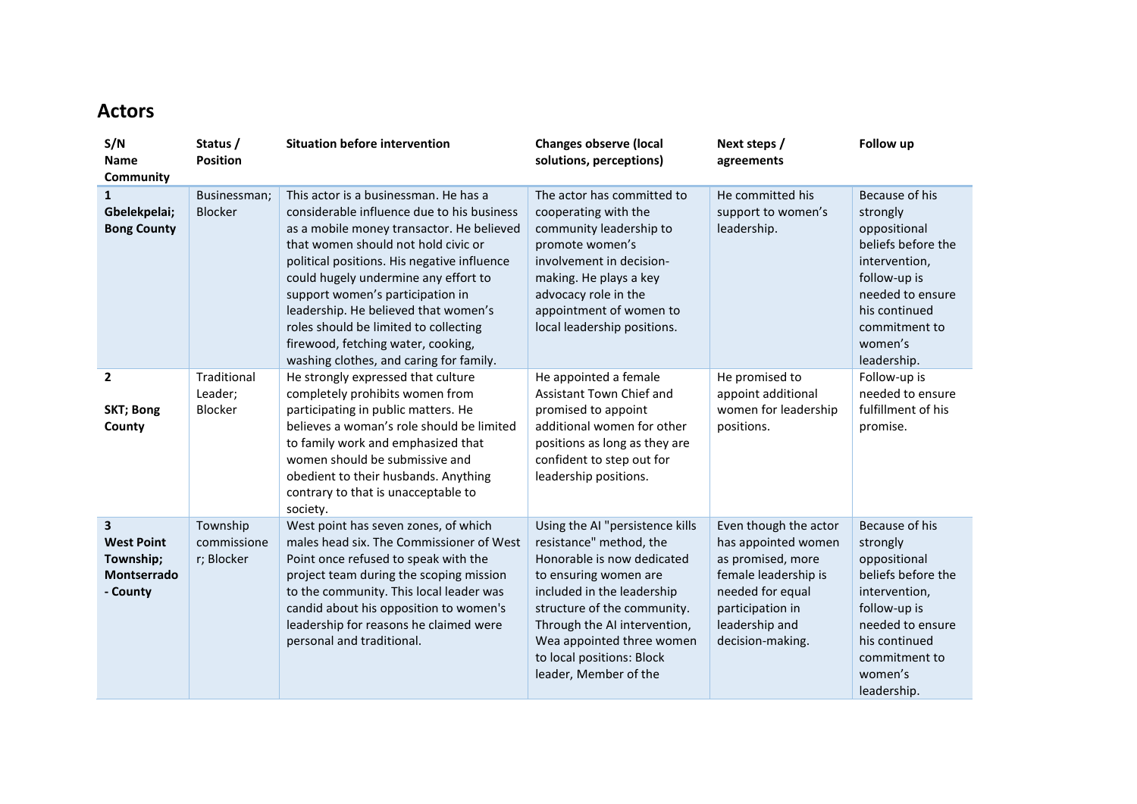### **Actors**

| S/N<br>Name<br>Community                                                             | Status /<br><b>Position</b>           | <b>Situation before intervention</b>                                                                                                                                                                                                                                                                                                                                                                                                                                 | <b>Changes observe (local</b><br>solutions, perceptions)                                                                                                                                                                                                                                          | Next steps /<br>agreements                                                                                                                                              | Follow up                                                                                                                                                                         |
|--------------------------------------------------------------------------------------|---------------------------------------|----------------------------------------------------------------------------------------------------------------------------------------------------------------------------------------------------------------------------------------------------------------------------------------------------------------------------------------------------------------------------------------------------------------------------------------------------------------------|---------------------------------------------------------------------------------------------------------------------------------------------------------------------------------------------------------------------------------------------------------------------------------------------------|-------------------------------------------------------------------------------------------------------------------------------------------------------------------------|-----------------------------------------------------------------------------------------------------------------------------------------------------------------------------------|
| 1<br>Gbelekpelai;<br><b>Bong County</b>                                              | Businessman;<br><b>Blocker</b>        | This actor is a businessman. He has a<br>considerable influence due to his business<br>as a mobile money transactor. He believed<br>that women should not hold civic or<br>political positions. His negative influence<br>could hugely undermine any effort to<br>support women's participation in<br>leadership. He believed that women's<br>roles should be limited to collecting<br>firewood, fetching water, cooking,<br>washing clothes, and caring for family. | The actor has committed to<br>cooperating with the<br>community leadership to<br>promote women's<br>involvement in decision-<br>making. He plays a key<br>advocacy role in the<br>appointment of women to<br>local leadership positions.                                                          | He committed his<br>support to women's<br>leadership.                                                                                                                   | Because of his<br>strongly<br>oppositional<br>beliefs before the<br>intervention,<br>follow-up is<br>needed to ensure<br>his continued<br>commitment to<br>women's<br>leadership. |
| $\overline{2}$<br><b>SKT; Bong</b><br>County                                         | Traditional<br>Leader;<br>Blocker     | He strongly expressed that culture<br>completely prohibits women from<br>participating in public matters. He<br>believes a woman's role should be limited<br>to family work and emphasized that<br>women should be submissive and<br>obedient to their husbands. Anything<br>contrary to that is unacceptable to<br>society.                                                                                                                                         | He appointed a female<br>Assistant Town Chief and<br>promised to appoint<br>additional women for other<br>positions as long as they are<br>confident to step out for<br>leadership positions.                                                                                                     | He promised to<br>appoint additional<br>women for leadership<br>positions.                                                                                              | Follow-up is<br>needed to ensure<br>fulfillment of his<br>promise.                                                                                                                |
| $\overline{\mathbf{3}}$<br><b>West Point</b><br>Township;<br>Montserrado<br>- County | Township<br>commissione<br>r; Blocker | West point has seven zones, of which<br>males head six. The Commissioner of West<br>Point once refused to speak with the<br>project team during the scoping mission<br>to the community. This local leader was<br>candid about his opposition to women's<br>leadership for reasons he claimed were<br>personal and traditional.                                                                                                                                      | Using the AI "persistence kills<br>resistance" method, the<br>Honorable is now dedicated<br>to ensuring women are<br>included in the leadership<br>structure of the community.<br>Through the AI intervention,<br>Wea appointed three women<br>to local positions: Block<br>leader, Member of the | Even though the actor<br>has appointed women<br>as promised, more<br>female leadership is<br>needed for equal<br>participation in<br>leadership and<br>decision-making. | Because of his<br>strongly<br>oppositional<br>beliefs before the<br>intervention,<br>follow-up is<br>needed to ensure<br>his continued<br>commitment to<br>women's<br>leadership. |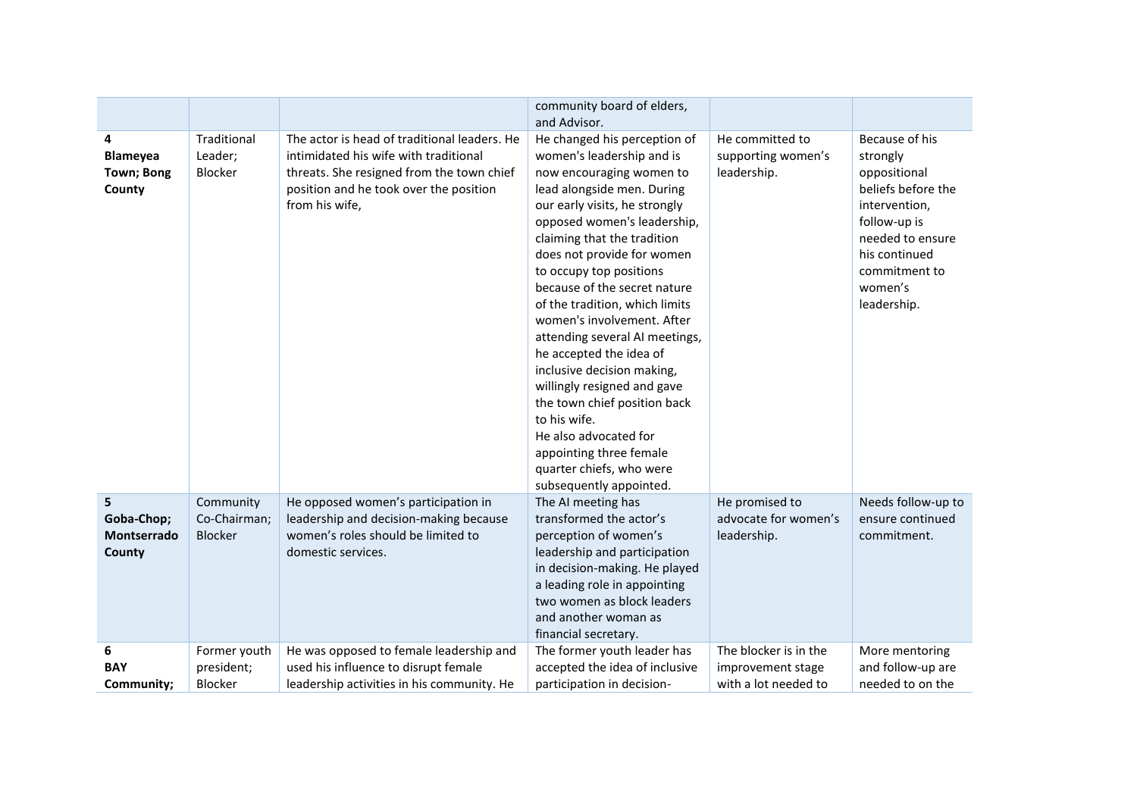|                                                     |                                       |                                                                                                                                                                                                | community board of elders,<br>and Advisor.                                                                                                                                                                                                                                                                                                                                                                                                                                                                                                                                                                                                                       |                                                                    |                                                                                                                                                                                   |
|-----------------------------------------------------|---------------------------------------|------------------------------------------------------------------------------------------------------------------------------------------------------------------------------------------------|------------------------------------------------------------------------------------------------------------------------------------------------------------------------------------------------------------------------------------------------------------------------------------------------------------------------------------------------------------------------------------------------------------------------------------------------------------------------------------------------------------------------------------------------------------------------------------------------------------------------------------------------------------------|--------------------------------------------------------------------|-----------------------------------------------------------------------------------------------------------------------------------------------------------------------------------|
| 4<br><b>Blameyea</b><br><b>Town; Bong</b><br>County | Traditional<br>Leader;<br>Blocker     | The actor is head of traditional leaders. He<br>intimidated his wife with traditional<br>threats. She resigned from the town chief<br>position and he took over the position<br>from his wife, | He changed his perception of<br>women's leadership and is<br>now encouraging women to<br>lead alongside men. During<br>our early visits, he strongly<br>opposed women's leadership,<br>claiming that the tradition<br>does not provide for women<br>to occupy top positions<br>because of the secret nature<br>of the tradition, which limits<br>women's involvement. After<br>attending several AI meetings,<br>he accepted the idea of<br>inclusive decision making,<br>willingly resigned and gave<br>the town chief position back<br>to his wife.<br>He also advocated for<br>appointing three female<br>quarter chiefs, who were<br>subsequently appointed. | He committed to<br>supporting women's<br>leadership.               | Because of his<br>strongly<br>oppositional<br>beliefs before the<br>intervention,<br>follow-up is<br>needed to ensure<br>his continued<br>commitment to<br>women's<br>leadership. |
| 5<br>Goba-Chop;<br>Montserrado<br>County            | Community<br>Co-Chairman;<br>Blocker  | He opposed women's participation in<br>leadership and decision-making because<br>women's roles should be limited to<br>domestic services.                                                      | The AI meeting has<br>transformed the actor's<br>perception of women's<br>leadership and participation<br>in decision-making. He played<br>a leading role in appointing<br>two women as block leaders<br>and another woman as<br>financial secretary.                                                                                                                                                                                                                                                                                                                                                                                                            | He promised to<br>advocate for women's<br>leadership.              | Needs follow-up to<br>ensure continued<br>commitment.                                                                                                                             |
| 6<br><b>BAY</b><br>Community;                       | Former youth<br>president;<br>Blocker | He was opposed to female leadership and<br>used his influence to disrupt female<br>leadership activities in his community. He                                                                  | The former youth leader has<br>accepted the idea of inclusive<br>participation in decision-                                                                                                                                                                                                                                                                                                                                                                                                                                                                                                                                                                      | The blocker is in the<br>improvement stage<br>with a lot needed to | More mentoring<br>and follow-up are<br>needed to on the                                                                                                                           |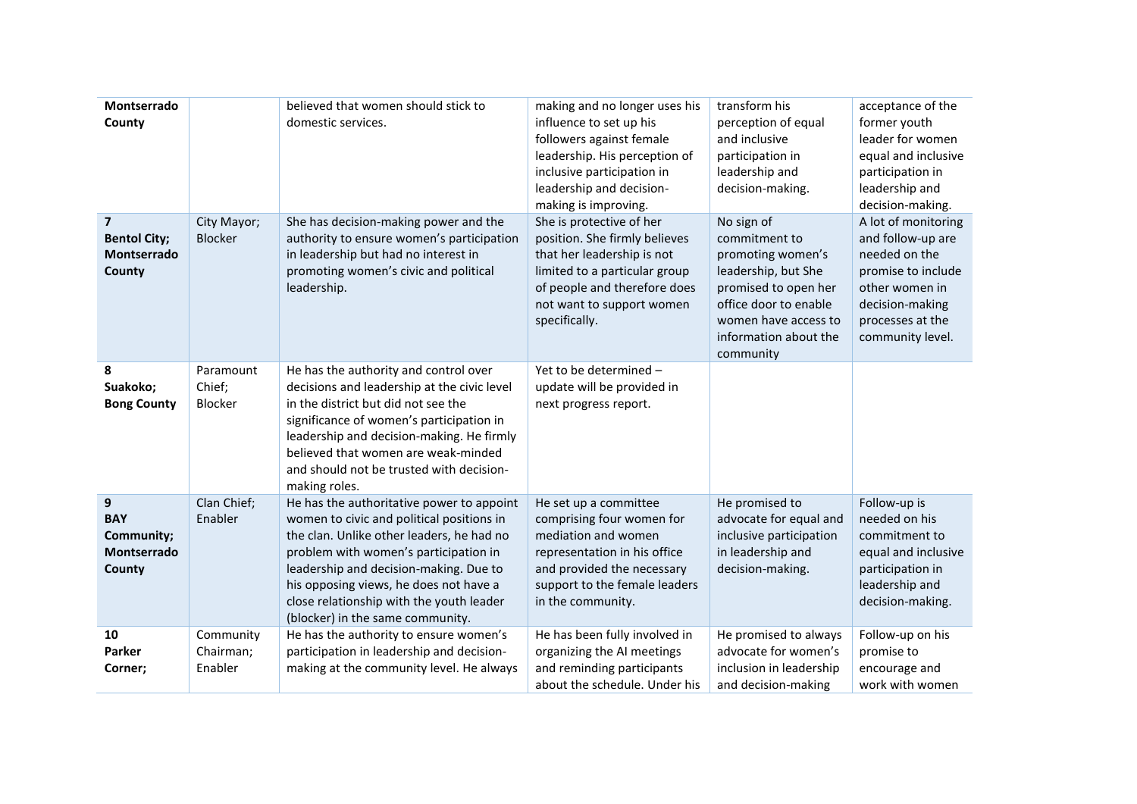| Montserrado<br>County                                                   |                                   | believed that women should stick to<br>domestic services.                                                                                                                                                                                                                                                                                        | making and no longer uses his<br>influence to set up his<br>followers against female<br>leadership. His perception of<br>inclusive participation in<br>leadership and decision-<br>making is improving. | transform his<br>perception of equal<br>and inclusive<br>participation in<br>leadership and<br>decision-making.                                                                        | acceptance of the<br>former youth<br>leader for women<br>equal and inclusive<br>participation in<br>leadership and<br>decision-making.                       |
|-------------------------------------------------------------------------|-----------------------------------|--------------------------------------------------------------------------------------------------------------------------------------------------------------------------------------------------------------------------------------------------------------------------------------------------------------------------------------------------|---------------------------------------------------------------------------------------------------------------------------------------------------------------------------------------------------------|----------------------------------------------------------------------------------------------------------------------------------------------------------------------------------------|--------------------------------------------------------------------------------------------------------------------------------------------------------------|
| $\overline{\mathbf{z}}$<br><b>Bentol City;</b><br>Montserrado<br>County | City Mayor;<br><b>Blocker</b>     | She has decision-making power and the<br>authority to ensure women's participation<br>in leadership but had no interest in<br>promoting women's civic and political<br>leadership.                                                                                                                                                               | She is protective of her<br>position. She firmly believes<br>that her leadership is not<br>limited to a particular group<br>of people and therefore does<br>not want to support women<br>specifically.  | No sign of<br>commitment to<br>promoting women's<br>leadership, but She<br>promised to open her<br>office door to enable<br>women have access to<br>information about the<br>community | A lot of monitoring<br>and follow-up are<br>needed on the<br>promise to include<br>other women in<br>decision-making<br>processes at the<br>community level. |
| 8<br>Suakoko;<br><b>Bong County</b>                                     | Paramount<br>Chief;<br>Blocker    | He has the authority and control over<br>decisions and leadership at the civic level<br>in the district but did not see the<br>significance of women's participation in<br>leadership and decision-making. He firmly<br>believed that women are weak-minded<br>and should not be trusted with decision-<br>making roles.                         | Yet to be determined -<br>update will be provided in<br>next progress report.                                                                                                                           |                                                                                                                                                                                        |                                                                                                                                                              |
| 9<br><b>BAY</b><br>Community;<br>Montserrado<br>County                  | Clan Chief;<br>Enabler            | He has the authoritative power to appoint<br>women to civic and political positions in<br>the clan. Unlike other leaders, he had no<br>problem with women's participation in<br>leadership and decision-making. Due to<br>his opposing views, he does not have a<br>close relationship with the youth leader<br>(blocker) in the same community. | He set up a committee<br>comprising four women for<br>mediation and women<br>representation in his office<br>and provided the necessary<br>support to the female leaders<br>in the community.           | He promised to<br>advocate for equal and<br>inclusive participation<br>in leadership and<br>decision-making.                                                                           | Follow-up is<br>needed on his<br>commitment to<br>equal and inclusive<br>participation in<br>leadership and<br>decision-making.                              |
| 10<br>Parker<br>Corner;                                                 | Community<br>Chairman;<br>Enabler | He has the authority to ensure women's<br>participation in leadership and decision-<br>making at the community level. He always                                                                                                                                                                                                                  | He has been fully involved in<br>organizing the AI meetings<br>and reminding participants<br>about the schedule. Under his                                                                              | He promised to always<br>advocate for women's<br>inclusion in leadership<br>and decision-making                                                                                        | Follow-up on his<br>promise to<br>encourage and<br>work with women                                                                                           |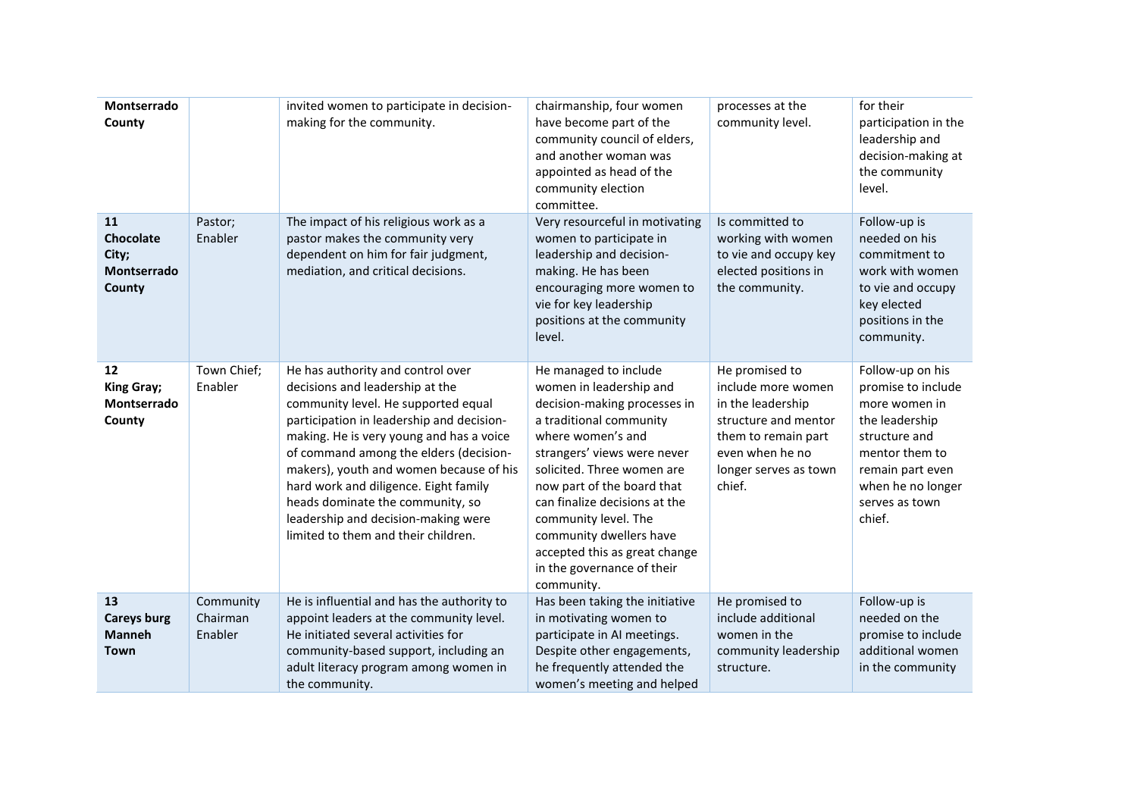| Montserrado<br>County                             |                                  | invited women to participate in decision-<br>making for the community.                                                                                                                                                                                                                                                                                                                                                                               | chairmanship, four women<br>have become part of the<br>community council of elders,<br>and another woman was<br>appointed as head of the<br>community election<br>committee.                                                                                                                                                                                                                 | processes at the<br>community level.                                                                                                                           | for their<br>participation in the<br>leadership and<br>decision-making at<br>the community<br>level.                                                                              |
|---------------------------------------------------|----------------------------------|------------------------------------------------------------------------------------------------------------------------------------------------------------------------------------------------------------------------------------------------------------------------------------------------------------------------------------------------------------------------------------------------------------------------------------------------------|----------------------------------------------------------------------------------------------------------------------------------------------------------------------------------------------------------------------------------------------------------------------------------------------------------------------------------------------------------------------------------------------|----------------------------------------------------------------------------------------------------------------------------------------------------------------|-----------------------------------------------------------------------------------------------------------------------------------------------------------------------------------|
| 11<br>Chocolate<br>City;<br>Montserrado<br>County | Pastor;<br>Enabler               | The impact of his religious work as a<br>pastor makes the community very<br>dependent on him for fair judgment,<br>mediation, and critical decisions.                                                                                                                                                                                                                                                                                                | Very resourceful in motivating<br>women to participate in<br>leadership and decision-<br>making. He has been<br>encouraging more women to<br>vie for key leadership<br>positions at the community<br>level.                                                                                                                                                                                  | Is committed to<br>working with women<br>to vie and occupy key<br>elected positions in<br>the community.                                                       | Follow-up is<br>needed on his<br>commitment to<br>work with women<br>to vie and occupy<br>key elected<br>positions in the<br>community.                                           |
| 12<br>King Gray;<br>Montserrado<br>County         | Town Chief;<br>Enabler           | He has authority and control over<br>decisions and leadership at the<br>community level. He supported equal<br>participation in leadership and decision-<br>making. He is very young and has a voice<br>of command among the elders (decision-<br>makers), youth and women because of his<br>hard work and diligence. Eight family<br>heads dominate the community, so<br>leadership and decision-making were<br>limited to them and their children. | He managed to include<br>women in leadership and<br>decision-making processes in<br>a traditional community<br>where women's and<br>strangers' views were never<br>solicited. Three women are<br>now part of the board that<br>can finalize decisions at the<br>community level. The<br>community dwellers have<br>accepted this as great change<br>in the governance of their<br>community. | He promised to<br>include more women<br>in the leadership<br>structure and mentor<br>them to remain part<br>even when he no<br>longer serves as town<br>chief. | Follow-up on his<br>promise to include<br>more women in<br>the leadership<br>structure and<br>mentor them to<br>remain part even<br>when he no longer<br>serves as town<br>chief. |
| 13<br><b>Careys burg</b><br><b>Manneh</b><br>Town | Community<br>Chairman<br>Enabler | He is influential and has the authority to<br>appoint leaders at the community level.<br>He initiated several activities for<br>community-based support, including an<br>adult literacy program among women in<br>the community.                                                                                                                                                                                                                     | Has been taking the initiative<br>in motivating women to<br>participate in AI meetings.<br>Despite other engagements,<br>he frequently attended the<br>women's meeting and helped                                                                                                                                                                                                            | He promised to<br>include additional<br>women in the<br>community leadership<br>structure.                                                                     | Follow-up is<br>needed on the<br>promise to include<br>additional women<br>in the community                                                                                       |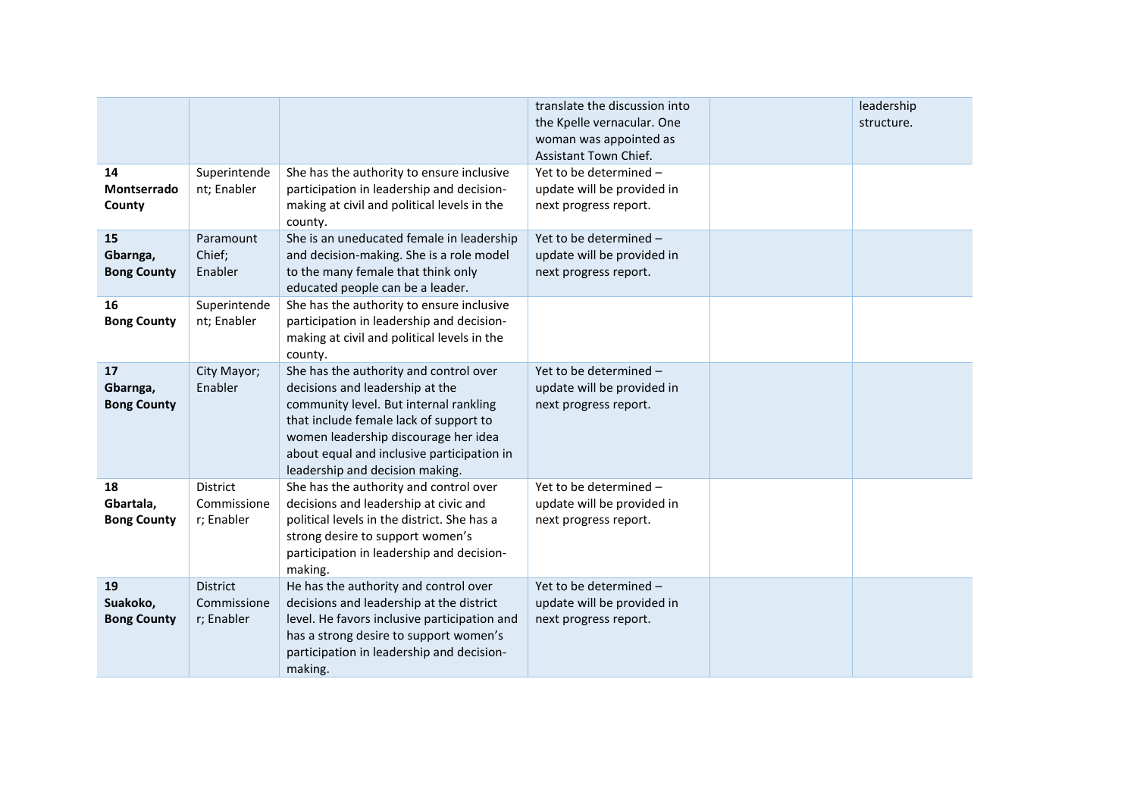|                                       |                                              |                                                                                                                                                                                                                                                                                        | translate the discussion into<br>the Kpelle vernacular. One<br>woman was appointed as<br>Assistant Town Chief. | leadership<br>structure. |
|---------------------------------------|----------------------------------------------|----------------------------------------------------------------------------------------------------------------------------------------------------------------------------------------------------------------------------------------------------------------------------------------|----------------------------------------------------------------------------------------------------------------|--------------------------|
| 14<br>Montserrado<br>County           | Superintende<br>nt; Enabler                  | She has the authority to ensure inclusive<br>participation in leadership and decision-<br>making at civil and political levels in the<br>county.                                                                                                                                       | Yet to be determined -<br>update will be provided in<br>next progress report.                                  |                          |
| 15<br>Gbarnga,<br><b>Bong County</b>  | Paramount<br>Chief;<br>Enabler               | She is an uneducated female in leadership<br>and decision-making. She is a role model<br>to the many female that think only<br>educated people can be a leader.                                                                                                                        | Yet to be determined -<br>update will be provided in<br>next progress report.                                  |                          |
| 16<br><b>Bong County</b>              | Superintende<br>nt; Enabler                  | She has the authority to ensure inclusive<br>participation in leadership and decision-<br>making at civil and political levels in the<br>county.                                                                                                                                       |                                                                                                                |                          |
| 17<br>Gbarnga,<br><b>Bong County</b>  | City Mayor;<br>Enabler                       | She has the authority and control over<br>decisions and leadership at the<br>community level. But internal rankling<br>that include female lack of support to<br>women leadership discourage her idea<br>about equal and inclusive participation in<br>leadership and decision making. | Yet to be determined -<br>update will be provided in<br>next progress report.                                  |                          |
| 18<br>Gbartala,<br><b>Bong County</b> | <b>District</b><br>Commissione<br>r; Enabler | She has the authority and control over<br>decisions and leadership at civic and<br>political levels in the district. She has a<br>strong desire to support women's<br>participation in leadership and decision-<br>making.                                                             | Yet to be determined -<br>update will be provided in<br>next progress report.                                  |                          |
| 19<br>Suakoko,<br><b>Bong County</b>  | <b>District</b><br>Commissione<br>r; Enabler | He has the authority and control over<br>decisions and leadership at the district<br>level. He favors inclusive participation and<br>has a strong desire to support women's<br>participation in leadership and decision-<br>making.                                                    | Yet to be determined -<br>update will be provided in<br>next progress report.                                  |                          |